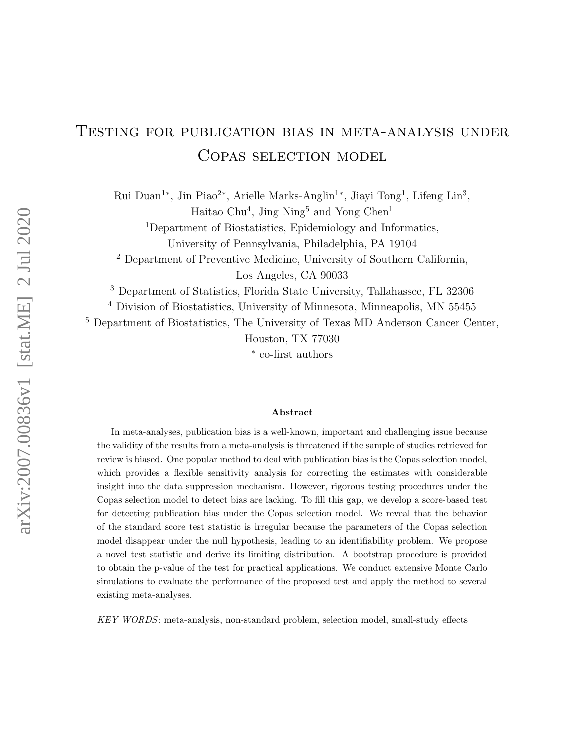# Testing for publication bias in meta-analysis under COPAS SELECTION MODEL

Rui Duan<sup>1</sup><sup>\*</sup>, Jin Piao<sup>2</sup><sup>\*</sup>, Arielle Marks-Anglin<sup>1</sup><sup>\*</sup>, Jiayi Tong<sup>1</sup>, Lifeng Lin<sup>3</sup>, Haitao Chu<sup>4</sup>, Jing Ning<sup>5</sup> and Yong Chen<sup>1</sup>

<sup>1</sup>Department of Biostatistics, Epidemiology and Informatics,

University of Pennsylvania, Philadelphia, PA 19104

<sup>2</sup> Department of Preventive Medicine, University of Southern California, Los Angeles, CA 90033

<sup>3</sup> Department of Statistics, Florida State University, Tallahassee, FL 32306

<sup>4</sup> Division of Biostatistics, University of Minnesota, Minneapolis, MN 55455

<sup>5</sup> Department of Biostatistics, The University of Texas MD Anderson Cancer Center,

Houston, TX 77030

∗ co-first authors

#### Abstract

In meta-analyses, publication bias is a well-known, important and challenging issue because the validity of the results from a meta-analysis is threatened if the sample of studies retrieved for review is biased. One popular method to deal with publication bias is the Copas selection model, which provides a flexible sensitivity analysis for correcting the estimates with considerable insight into the data suppression mechanism. However, rigorous testing procedures under the Copas selection model to detect bias are lacking. To fill this gap, we develop a score-based test for detecting publication bias under the Copas selection model. We reveal that the behavior of the standard score test statistic is irregular because the parameters of the Copas selection model disappear under the null hypothesis, leading to an identifiability problem. We propose a novel test statistic and derive its limiting distribution. A bootstrap procedure is provided to obtain the p-value of the test for practical applications. We conduct extensive Monte Carlo simulations to evaluate the performance of the proposed test and apply the method to several existing meta-analyses.

KEY WORDS: meta-analysis, non-standard problem, selection model, small-study effects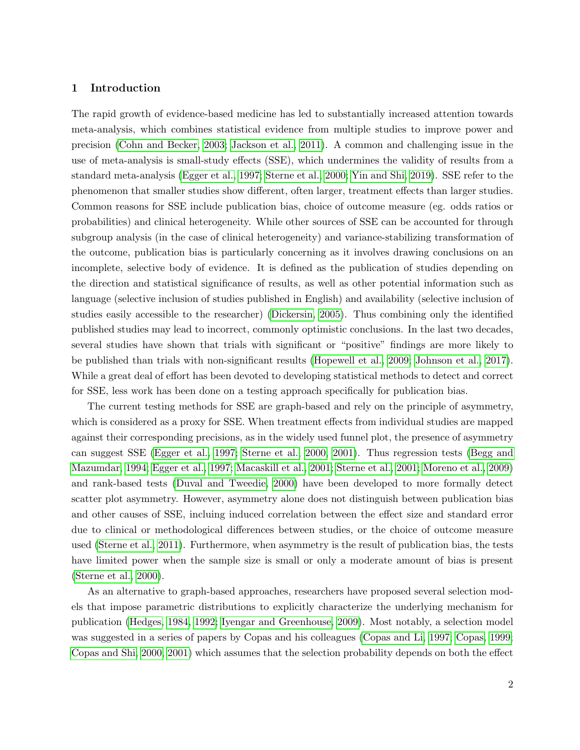# 1 Introduction

The rapid growth of evidence-based medicine has led to substantially increased attention towards meta-analysis, which combines statistical evidence from multiple studies to improve power and precision [\(Cohn and Becker, 2003;](#page-16-0) [Jackson et al., 2011\)](#page-17-0). A common and challenging issue in the use of meta-analysis is small-study effects (SSE), which undermines the validity of results from a standard meta-analysis [\(Egger et al., 1997;](#page-17-1) [Sterne et al., 2000;](#page-18-0) [Yin and Shi, 2019\)](#page-19-0). SSE refer to the phenomenon that smaller studies show different, often larger, treatment effects than larger studies. Common reasons for SSE include publication bias, choice of outcome measure (eg. odds ratios or probabilities) and clinical heterogeneity. While other sources of SSE can be accounted for through subgroup analysis (in the case of clinical heterogeneity) and variance-stabilizing transformation of the outcome, publication bias is particularly concerning as it involves drawing conclusions on an incomplete, selective body of evidence. It is defined as the publication of studies depending on the direction and statistical significance of results, as well as other potential information such as language (selective inclusion of studies published in English) and availability (selective inclusion of studies easily accessible to the researcher) [\(Dickersin, 2005\)](#page-17-2). Thus combining only the identified published studies may lead to incorrect, commonly optimistic conclusions. In the last two decades, several studies have shown that trials with significant or "positive" findings are more likely to be published than trials with non-significant results [\(Hopewell et al., 2009;](#page-17-3) [Johnson et al., 2017\)](#page-18-1). While a great deal of effort has been devoted to developing statistical methods to detect and correct for SSE, less work has been done on a testing approach specifically for publication bias.

The current testing methods for SSE are graph-based and rely on the principle of asymmetry, which is considered as a proxy for SSE. When treatment effects from individual studies are mapped against their corresponding precisions, as in the widely used funnel plot, the presence of asymmetry can suggest SSE [\(Egger et al., 1997;](#page-17-1) [Sterne et al., 2000,](#page-18-0) [2001\)](#page-18-2). Thus regression tests [\(Begg and](#page-16-1) [Mazumdar, 1994;](#page-16-1) [Egger et al., 1997;](#page-17-1) [Macaskill et al., 2001;](#page-18-3) [Sterne et al., 2001;](#page-18-2) [Moreno et al., 2009\)](#page-18-4) and rank-based tests [\(Duval and Tweedie, 2000\)](#page-17-4) have been developed to more formally detect scatter plot asymmetry. However, asymmetry alone does not distinguish between publication bias and other causes of SSE, incluing induced correlation between the effect size and standard error due to clinical or methodological differences between studies, or the choice of outcome measure used [\(Sterne et al., 2011\)](#page-19-1). Furthermore, when asymmetry is the result of publication bias, the tests have limited power when the sample size is small or only a moderate amount of bias is present [\(Sterne et al., 2000\)](#page-18-0).

As an alternative to graph-based approaches, researchers have proposed several selection models that impose parametric distributions to explicitly characterize the underlying mechanism for publication [\(Hedges, 1984,](#page-17-5) [1992;](#page-17-6) [Iyengar and Greenhouse, 2009\)](#page-17-7). Most notably, a selection model was suggested in a series of papers by Copas and his colleagues [\(Copas and Li, 1997;](#page-17-8) [Copas, 1999;](#page-16-2) [Copas and Shi, 2000,](#page-17-9) [2001\)](#page-16-3) which assumes that the selection probability depends on both the effect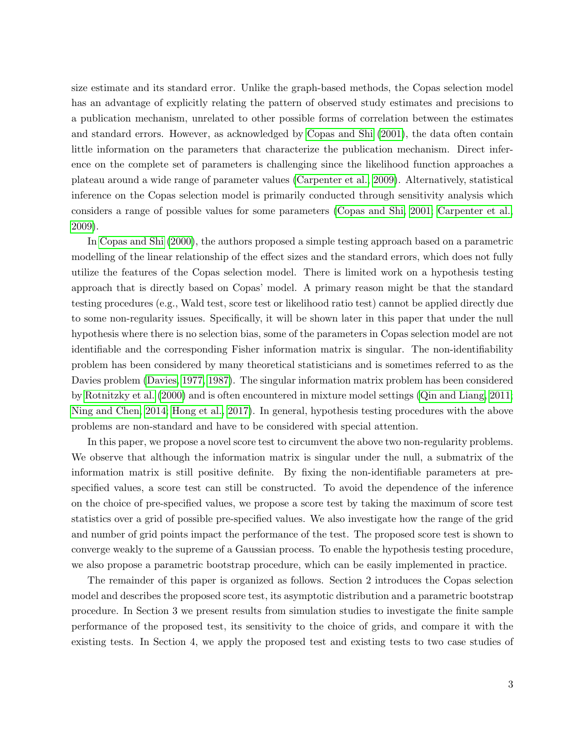size estimate and its standard error. Unlike the graph-based methods, the Copas selection model has an advantage of explicitly relating the pattern of observed study estimates and precisions to a publication mechanism, unrelated to other possible forms of correlation between the estimates and standard errors. However, as acknowledged by [Copas and Shi](#page-16-3) [\(2001\)](#page-16-3), the data often contain little information on the parameters that characterize the publication mechanism. Direct inference on the complete set of parameters is challenging since the likelihood function approaches a plateau around a wide range of parameter values [\(Carpenter et al., 2009\)](#page-16-4). Alternatively, statistical inference on the Copas selection model is primarily conducted through sensitivity analysis which considers a range of possible values for some parameters [\(Copas and Shi, 2001;](#page-16-3) [Carpenter et al.,](#page-16-4) [2009\)](#page-16-4).

In [Copas and Shi](#page-17-9) [\(2000\)](#page-17-9), the authors proposed a simple testing approach based on a parametric modelling of the linear relationship of the effect sizes and the standard errors, which does not fully utilize the features of the Copas selection model. There is limited work on a hypothesis testing approach that is directly based on Copas' model. A primary reason might be that the standard testing procedures (e.g., Wald test, score test or likelihood ratio test) cannot be applied directly due to some non-regularity issues. Specifically, it will be shown later in this paper that under the null hypothesis where there is no selection bias, some of the parameters in Copas selection model are not identifiable and the corresponding Fisher information matrix is singular. The non-identifiability problem has been considered by many theoretical statisticians and is sometimes referred to as the Davies problem [\(Davies, 1977,](#page-17-10) [1987\)](#page-17-11). The singular information matrix problem has been considered by [Rotnitzky et al.](#page-18-5) [\(2000\)](#page-18-5) and is often encountered in mixture model settings [\(Qin and Liang, 2011;](#page-18-6) [Ning and Chen, 2014;](#page-18-7) [Hong et al., 2017\)](#page-17-12). In general, hypothesis testing procedures with the above problems are non-standard and have to be considered with special attention.

In this paper, we propose a novel score test to circumvent the above two non-regularity problems. We observe that although the information matrix is singular under the null, a submatrix of the information matrix is still positive definite. By fixing the non-identifiable parameters at prespecified values, a score test can still be constructed. To avoid the dependence of the inference on the choice of pre-specified values, we propose a score test by taking the maximum of score test statistics over a grid of possible pre-specified values. We also investigate how the range of the grid and number of grid points impact the performance of the test. The proposed score test is shown to converge weakly to the supreme of a Gaussian process. To enable the hypothesis testing procedure, we also propose a parametric bootstrap procedure, which can be easily implemented in practice.

The remainder of this paper is organized as follows. Section 2 introduces the Copas selection model and describes the proposed score test, its asymptotic distribution and a parametric bootstrap procedure. In Section 3 we present results from simulation studies to investigate the finite sample performance of the proposed test, its sensitivity to the choice of grids, and compare it with the existing tests. In Section 4, we apply the proposed test and existing tests to two case studies of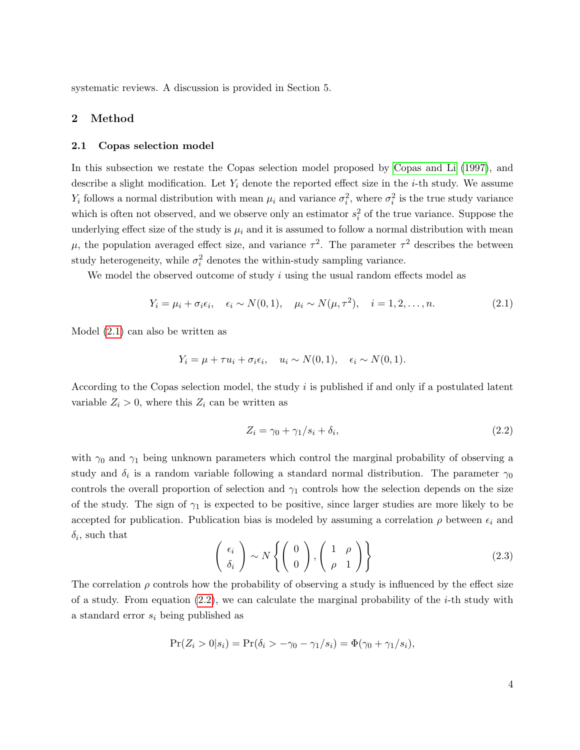systematic reviews. A discussion is provided in Section 5.

### 2 Method

### 2.1 Copas selection model

In this subsection we restate the Copas selection model proposed by [Copas and Li](#page-17-8) [\(1997\)](#page-17-8), and describe a slight modification. Let  $Y_i$  denote the reported effect size in the *i*-th study. We assume  $Y_i$  follows a normal distribution with mean  $\mu_i$  and variance  $\sigma_i^2$ , where  $\sigma_i^2$  is the true study variance which is often not observed, and we observe only an estimator  $s_i^2$  of the true variance. Suppose the underlying effect size of the study is  $\mu_i$  and it is assumed to follow a normal distribution with mean μ, the population averaged effect size, and variance  $\tau^2$ . The parameter  $\tau^2$  describes the between study heterogeneity, while  $\sigma_i^2$  denotes the within-study sampling variance.

We model the observed outcome of study  $i$  using the usual random effects model as

<span id="page-3-0"></span>
$$
Y_i = \mu_i + \sigma_i \epsilon_i, \quad \epsilon_i \sim N(0, 1), \quad \mu_i \sim N(\mu, \tau^2), \quad i = 1, 2, ..., n.
$$
 (2.1)

Model [\(2.1\)](#page-3-0) can also be written as

$$
Y_i = \mu + \tau u_i + \sigma_i \epsilon_i, \quad u_i \sim N(0, 1), \quad \epsilon_i \sim N(0, 1).
$$

According to the Copas selection model, the study i is published if and only if a postulated latent variable  $Z_i > 0$ , where this  $Z_i$  can be written as

<span id="page-3-1"></span>
$$
Z_i = \gamma_0 + \gamma_1/s_i + \delta_i,\tag{2.2}
$$

with  $\gamma_0$  and  $\gamma_1$  being unknown parameters which control the marginal probability of observing a study and  $\delta_i$  is a random variable following a standard normal distribution. The parameter  $\gamma_0$ controls the overall proportion of selection and  $\gamma_1$  controls how the selection depends on the size of the study. The sign of  $\gamma_1$  is expected to be positive, since larger studies are more likely to be accepted for publication. Publication bias is modeled by assuming a correlation  $\rho$  between  $\epsilon_i$  and  $\delta_i$ , such that

$$
\begin{pmatrix} \epsilon_i \\ \delta_i \end{pmatrix} \sim N \left\{ \begin{pmatrix} 0 \\ 0 \end{pmatrix}, \begin{pmatrix} 1 & \rho \\ \rho & 1 \end{pmatrix} \right\}
$$
 (2.3)

The correlation  $\rho$  controls how the probability of observing a study is influenced by the effect size of a study. From equation  $(2.2)$ , we can calculate the marginal probability of the *i*-th study with a standard error  $s_i$  being published as

$$
Pr(Z_i > 0 | s_i) = Pr(\delta_i > -\gamma_0 - \gamma_1 / s_i) = \Phi(\gamma_0 + \gamma_1 / s_i),
$$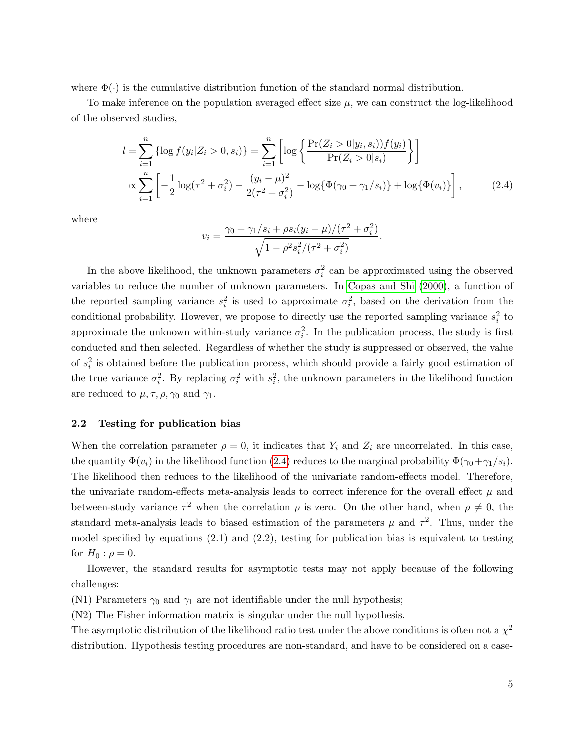where  $\Phi(\cdot)$  is the cumulative distribution function of the standard normal distribution.

To make inference on the population averaged effect size  $\mu$ , we can construct the log-likelihood of the observed studies,

$$
l = \sum_{i=1}^{n} {\log f(y_i | Z_i > 0, s_i)} = \sum_{i=1}^{n} {\log \left\{ \frac{\Pr(Z_i > 0 | y_i, s_i)) f(y_i)}{\Pr(Z_i > 0 | s_i)} \right\}} \times \sum_{i=1}^{n} {\left[ -\frac{1}{2} \log(\tau^2 + \sigma_i^2) - \frac{(y_i - \mu)^2}{2(\tau^2 + \sigma_i^2)} - \log{\Phi(\gamma_0 + \gamma_1/s_i)} + \log{\Phi(v_i)} \right]},
$$
(2.4)

where

<span id="page-4-0"></span>
$$
v_i = \frac{\gamma_0 + \gamma_1/s_i + \rho s_i (y_i - \mu) / (\tau^2 + \sigma_i^2)}{\sqrt{1 - \rho^2 s_i^2 / (\tau^2 + \sigma_i^2)}}.
$$

In the above likelihood, the unknown parameters  $\sigma_i^2$  can be approximated using the observed variables to reduce the number of unknown parameters. In [Copas and Shi](#page-17-9) [\(2000\)](#page-17-9), a function of the reported sampling variance  $s_i^2$  is used to approximate  $\sigma_i^2$ , based on the derivation from the conditional probability. However, we propose to directly use the reported sampling variance  $s_i^2$  to approximate the unknown within-study variance  $\sigma_i^2$ . In the publication process, the study is first conducted and then selected. Regardless of whether the study is suppressed or observed, the value of  $s_i^2$  is obtained before the publication process, which should provide a fairly good estimation of the true variance  $\sigma_i^2$ . By replacing  $\sigma_i^2$  with  $s_i^2$ , the unknown parameters in the likelihood function are reduced to  $\mu, \tau, \rho, \gamma_0$  and  $\gamma_1$ .

### 2.2 Testing for publication bias

When the correlation parameter  $\rho = 0$ , it indicates that  $Y_i$  and  $Z_i$  are uncorrelated. In this case, the quantity  $\Phi(v_i)$  in the likelihood function [\(2.4\)](#page-4-0) reduces to the marginal probability  $\Phi(\gamma_0+\gamma_1/s_i)$ . The likelihood then reduces to the likelihood of the univariate random-effects model. Therefore, the univariate random-effects meta-analysis leads to correct inference for the overall effect  $\mu$  and between-study variance  $\tau^2$  when the correlation  $\rho$  is zero. On the other hand, when  $\rho \neq 0$ , the standard meta-analysis leads to biased estimation of the parameters  $\mu$  and  $\tau^2$ . Thus, under the model specified by equations  $(2.1)$  and  $(2.2)$ , testing for publication bias is equivalent to testing for  $H_0$ :  $\rho = 0$ .

However, the standard results for asymptotic tests may not apply because of the following challenges:

(N1) Parameters  $\gamma_0$  and  $\gamma_1$  are not identifiable under the null hypothesis;

(N2) The Fisher information matrix is singular under the null hypothesis.

The asymptotic distribution of the likelihood ratio test under the above conditions is often not a  $\chi^2$ distribution. Hypothesis testing procedures are non-standard, and have to be considered on a case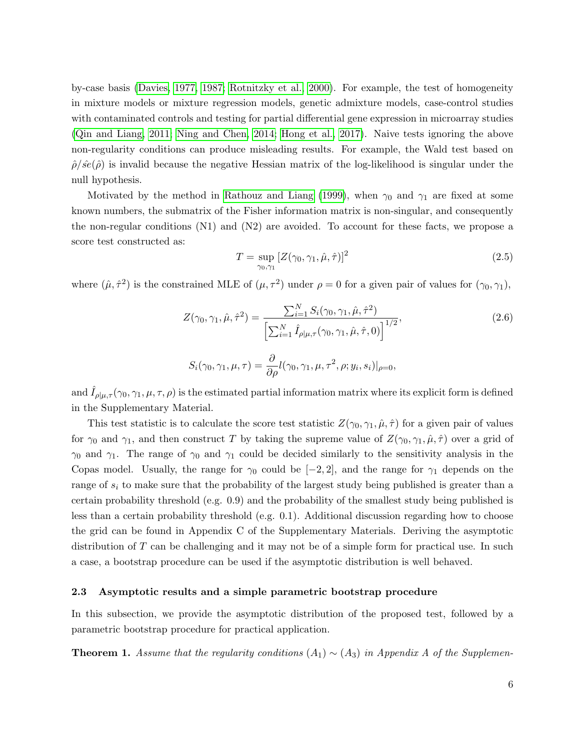by-case basis [\(Davies, 1977,](#page-17-10) [1987;](#page-17-11) [Rotnitzky et al., 2000\)](#page-18-5). For example, the test of homogeneity in mixture models or mixture regression models, genetic admixture models, case-control studies with contaminated controls and testing for partial differential gene expression in microarray studies [\(Qin and Liang, 2011;](#page-18-6) [Ning and Chen, 2014;](#page-18-7) [Hong et al., 2017\)](#page-17-12). Naive tests ignoring the above non-regularity conditions can produce misleading results. For example, the Wald test based on  $\hat{\rho}/\hat{se}(\hat{\rho})$  is invalid because the negative Hessian matrix of the log-likelihood is singular under the null hypothesis.

Motivated by the method in [Rathouz and Liang](#page-18-8) [\(1999\)](#page-18-8), when  $\gamma_0$  and  $\gamma_1$  are fixed at some known numbers, the submatrix of the Fisher information matrix is non-singular, and consequently the non-regular conditions (N1) and (N2) are avoided. To account for these facts, we propose a score test constructed as:

<span id="page-5-1"></span>
$$
T = \sup_{\gamma_0, \gamma_1} \left[ Z(\gamma_0, \gamma_1, \hat{\mu}, \hat{\tau}) \right]^2 \tag{2.5}
$$

where  $(\hat{\mu}, \hat{\tau}^2)$  is the constrained MLE of  $(\mu, \tau^2)$  under  $\rho = 0$  for a given pair of values for  $(\gamma_0, \gamma_1)$ ,

<span id="page-5-2"></span>
$$
Z(\gamma_0, \gamma_1, \hat{\mu}, \hat{\tau}^2) = \frac{\sum_{i=1}^N S_i(\gamma_0, \gamma_1, \hat{\mu}, \hat{\tau}^2)}{\left[\sum_{i=1}^N \hat{I}_{\rho|\mu, \tau}(\gamma_0, \gamma_1, \hat{\mu}, \hat{\tau}, 0)\right]^{1/2}},
$$
\n
$$
S_i(\gamma_0, \gamma_1, \mu, \tau) = \frac{\partial}{\partial \rho} l(\gamma_0, \gamma_1, \mu, \tau^2, \rho; y_i, s_i)|_{\rho=0},
$$
\n(2.6)

and  $I_{\rho|\mu,\tau}(\gamma_0,\gamma_1,\mu,\tau,\rho)$  is the estimated partial information matrix where its explicit form is defined in the Supplementary Material.

This test statistic is to calculate the score test statistic  $Z(\gamma_0, \gamma_1, \hat{\mu}, \hat{\tau})$  for a given pair of values for  $\gamma_0$  and  $\gamma_1$ , and then construct T by taking the supreme value of  $Z(\gamma_0, \gamma_1, \hat{\mu}, \hat{\tau})$  over a grid of  $\gamma_0$  and  $\gamma_1$ . The range of  $\gamma_0$  and  $\gamma_1$  could be decided similarly to the sensitivity analysis in the Copas model. Usually, the range for  $\gamma_0$  could be  $[-2, 2]$ , and the range for  $\gamma_1$  depends on the range of  $s_i$  to make sure that the probability of the largest study being published is greater than a certain probability threshold (e.g. 0.9) and the probability of the smallest study being published is less than a certain probability threshold (e.g. 0.1). Additional discussion regarding how to choose the grid can be found in Appendix C of the Supplementary Materials. Deriving the asymptotic distribution of  $T$  can be challenging and it may not be of a simple form for practical use. In such a case, a bootstrap procedure can be used if the asymptotic distribution is well behaved.

#### 2.3 Asymptotic results and a simple parametric bootstrap procedure

In this subsection, we provide the asymptotic distribution of the proposed test, followed by a parametric bootstrap procedure for practical application.

<span id="page-5-0"></span>**Theorem 1.** Assume that the regularity conditions  $(A_1) \sim (A_3)$  in Appendix A of the Supplemen-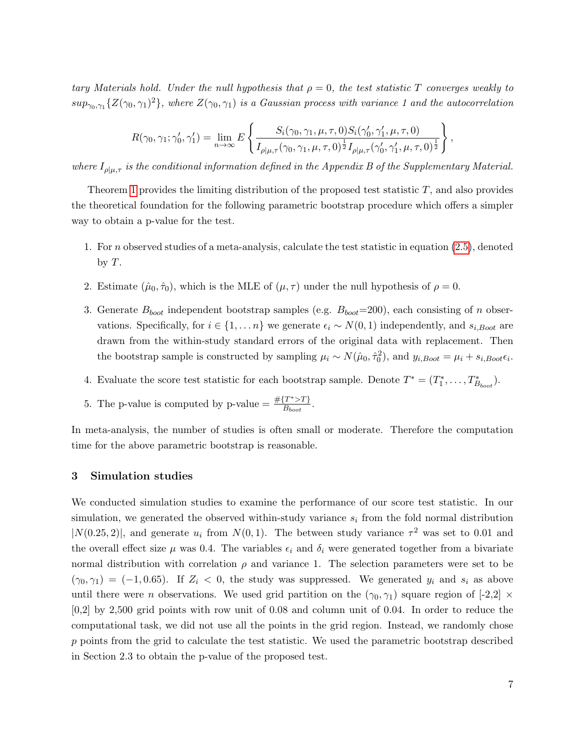tary Materials hold. Under the null hypothesis that  $\rho = 0$ , the test statistic T converges weakly to  $sup_{\gamma_0,\gamma_1} \{Z(\gamma_0,\gamma_1)^2\}$ , where  $Z(\gamma_0,\gamma_1)$  is a Gaussian process with variance 1 and the autocorrelation

$$
R(\gamma_0, \gamma_1; \gamma'_0, \gamma'_1) = \lim_{n \to \infty} E\left\{ \frac{S_i(\gamma_0, \gamma_1, \mu, \tau, 0) S_i(\gamma'_0, \gamma'_1, \mu, \tau, 0)}{I_{\rho | \mu, \tau}(\gamma_0, \gamma_1, \mu, \tau, 0)^{\frac{1}{2}} I_{\rho | \mu, \tau}(\gamma'_0, \gamma'_1, \mu, \tau, 0)^{\frac{1}{2}}} \right\},
$$

where  $I_{\rho|\mu,\tau}$  is the conditional information defined in the Appendix B of the Supplementary Material.

Theorem [1](#page-5-0) provides the limiting distribution of the proposed test statistic  $T$ , and also provides the theoretical foundation for the following parametric bootstrap procedure which offers a simpler way to obtain a p-value for the test.

- 1. For n observed studies of a meta-analysis, calculate the test statistic in equation [\(2.5\)](#page-5-1), denoted by  $T$ .
- 2. Estimate  $(\hat{\mu}_0, \hat{\tau}_0)$ , which is the MLE of  $(\mu, \tau)$  under the null hypothesis of  $\rho = 0$ .
- 3. Generate  $B_{boot}$  independent bootstrap samples (e.g.  $B_{boot}=200$ ), each consisting of n observations. Specifically, for  $i \in \{1, ..., n\}$  we generate  $\epsilon_i \sim N(0, 1)$  independently, and  $s_{i, Boot}$  are drawn from the within-study standard errors of the original data with replacement. Then the bootstrap sample is constructed by sampling  $\mu_i \sim N(\hat{\mu}_0, \hat{\tau}_0^2)$ , and  $y_{i, Boot} = \mu_i + s_{i, Boot} \epsilon_i$ .
- 4. Evaluate the score test statistic for each bootstrap sample. Denote  $T^* = (T_1^*, \ldots, T_{B_{boot}}^*)$ .
- 5. The p-value is computed by p-value  $=\frac{\#{T^*} > T}{B}$  $\frac{I \geq I}{B_{boot}}$ .

In meta-analysis, the number of studies is often small or moderate. Therefore the computation time for the above parametric bootstrap is reasonable.

# 3 Simulation studies

We conducted simulation studies to examine the performance of our score test statistic. In our simulation, we generated the observed within-study variance  $s_i$  from the fold normal distribution  $|N(0.25, 2)|$ , and generate  $u_i$  from  $N(0, 1)$ . The between study variance  $\tau^2$  was set to 0.01 and the overall effect size  $\mu$  was 0.4. The variables  $\epsilon_i$  and  $\delta_i$  were generated together from a bivariate normal distribution with correlation  $\rho$  and variance 1. The selection parameters were set to be  $(\gamma_0, \gamma_1) = (-1, 0.65)$ . If  $Z_i < 0$ , the study was suppressed. We generated  $y_i$  and  $s_i$  as above until there were *n* observations. We used grid partition on the  $(\gamma_0, \gamma_1)$  square region of [-2,2]  $\times$ [0,2] by 2,500 grid points with row unit of 0.08 and column unit of 0.04. In order to reduce the computational task, we did not use all the points in the grid region. Instead, we randomly chose p points from the grid to calculate the test statistic. We used the parametric bootstrap described in Section 2.3 to obtain the p-value of the proposed test.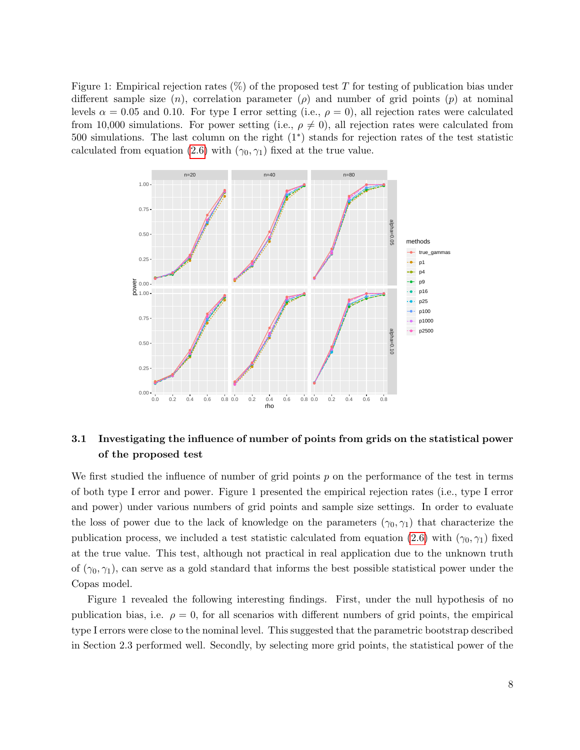Figure 1: Empirical rejection rates  $(\%)$  of the proposed test T for testing of publication bias under different sample size  $(n)$ , correlation parameter  $(\rho)$  and number of grid points  $(p)$  at nominal levels  $\alpha = 0.05$  and 0.10. For type I error setting (i.e.,  $\rho = 0$ ), all rejection rates were calculated from 10,000 simulations. For power setting (i.e.,  $\rho \neq 0$ ), all rejection rates were calculated from 500 simulations. The last column on the right (1<sup>∗</sup> ) stands for rejection rates of the test statistic calculated from equation [\(2.6\)](#page-5-2) with  $(\gamma_0, \gamma_1)$  fixed at the true value.



# 3.1 Investigating the influence of number of points from grids on the statistical power of the proposed test

We first studied the influence of number of grid points  $p$  on the performance of the test in terms of both type I error and power. Figure 1 presented the empirical rejection rates (i.e., type I error and power) under various numbers of grid points and sample size settings. In order to evaluate the loss of power due to the lack of knowledge on the parameters  $(\gamma_0, \gamma_1)$  that characterize the publication process, we included a test statistic calculated from equation [\(2.6\)](#page-5-2) with  $(\gamma_0, \gamma_1)$  fixed at the true value. This test, although not practical in real application due to the unknown truth of  $(\gamma_0, \gamma_1)$ , can serve as a gold standard that informs the best possible statistical power under the Copas model.

Figure 1 revealed the following interesting findings. First, under the null hypothesis of no publication bias, i.e.  $\rho = 0$ , for all scenarios with different numbers of grid points, the empirical type I errors were close to the nominal level. This suggested that the parametric bootstrap described in Section 2.3 performed well. Secondly, by selecting more grid points, the statistical power of the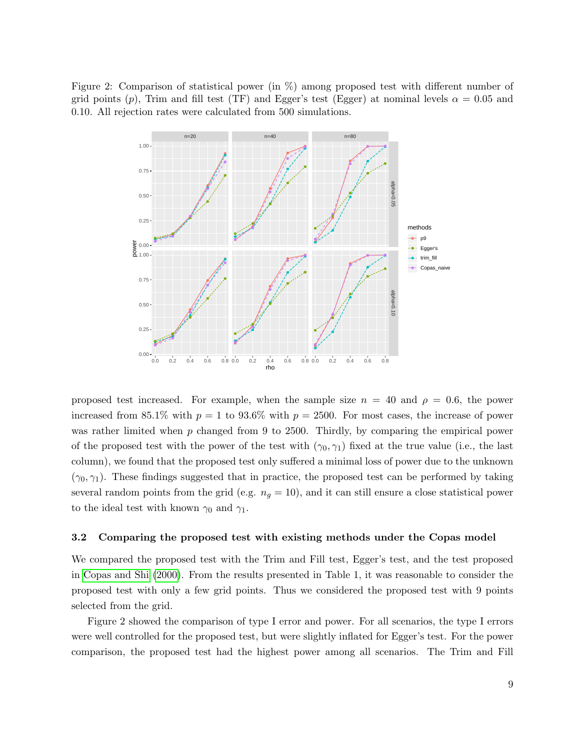Figure 2: Comparison of statistical power (in %) among proposed test with different number of grid points (p), Trim and fill test (TF) and Egger's test (Egger) at nominal levels  $\alpha = 0.05$  and 0.10. All rejection rates were calculated from 500 simulations.



proposed test increased. For example, when the sample size  $n = 40$  and  $\rho = 0.6$ , the power increased from 85.1% with  $p = 1$  to 93.6% with  $p = 2500$ . For most cases, the increase of power was rather limited when p changed from 9 to 2500. Thirdly, by comparing the empirical power of the proposed test with the power of the test with  $(\gamma_0, \gamma_1)$  fixed at the true value (i.e., the last column), we found that the proposed test only suffered a minimal loss of power due to the unknown  $(\gamma_0, \gamma_1)$ . These findings suggested that in practice, the proposed test can be performed by taking several random points from the grid (e.g.  $n<sub>g</sub> = 10$ ), and it can still ensure a close statistical power to the ideal test with known  $\gamma_0$  and  $\gamma_1$ .

#### 3.2 Comparing the proposed test with existing methods under the Copas model

We compared the proposed test with the Trim and Fill test, Egger's test, and the test proposed in [Copas and Shi](#page-17-9) [\(2000\)](#page-17-9). From the results presented in Table 1, it was reasonable to consider the proposed test with only a few grid points. Thus we considered the proposed test with 9 points selected from the grid.

Figure 2 showed the comparison of type I error and power. For all scenarios, the type I errors were well controlled for the proposed test, but were slightly inflated for Egger's test. For the power comparison, the proposed test had the highest power among all scenarios. The Trim and Fill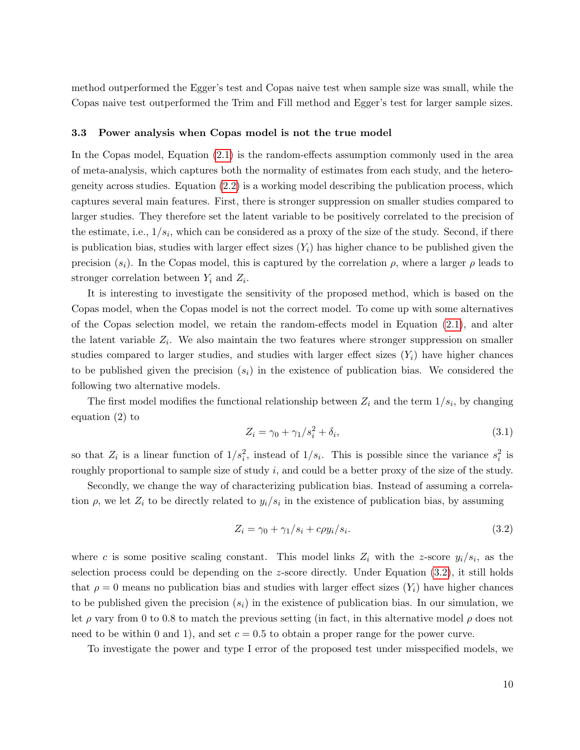method outperformed the Egger's test and Copas naive test when sample size was small, while the Copas naive test outperformed the Trim and Fill method and Egger's test for larger sample sizes.

### 3.3 Power analysis when Copas model is not the true model

In the Copas model, Equation [\(2.1\)](#page-3-0) is the random-effects assumption commonly used in the area of meta-analysis, which captures both the normality of estimates from each study, and the heterogeneity across studies. Equation [\(2.2\)](#page-3-1) is a working model describing the publication process, which captures several main features. First, there is stronger suppression on smaller studies compared to larger studies. They therefore set the latent variable to be positively correlated to the precision of the estimate, i.e.,  $1/s_i$ , which can be considered as a proxy of the size of the study. Second, if there is publication bias, studies with larger effect sizes  $(Y_i)$  has higher chance to be published given the precision  $(s_i)$ . In the Copas model, this is captured by the correlation  $\rho$ , where a larger  $\rho$  leads to stronger correlation between  $Y_i$  and  $Z_i$ .

It is interesting to investigate the sensitivity of the proposed method, which is based on the Copas model, when the Copas model is not the correct model. To come up with some alternatives of the Copas selection model, we retain the random-effects model in Equation [\(2.1\)](#page-3-0), and alter the latent variable  $Z_i$ . We also maintain the two features where stronger suppression on smaller studies compared to larger studies, and studies with larger effect sizes  $(Y_i)$  have higher chances to be published given the precision  $(s_i)$  in the existence of publication bias. We considered the following two alternative models.

The first model modifies the functional relationship between  $Z_i$  and the term  $1/s_i$ , by changing equation (2) to

<span id="page-9-1"></span>
$$
Z_i = \gamma_0 + \gamma_1/s_i^2 + \delta_i,\tag{3.1}
$$

so that  $Z_i$  is a linear function of  $1/s_i^2$ , instead of  $1/s_i$ . This is possible since the variance  $s_i^2$  is roughly proportional to sample size of study i, and could be a better proxy of the size of the study.

Secondly, we change the way of characterizing publication bias. Instead of assuming a correlation  $\rho$ , we let  $Z_i$  to be directly related to  $y_i/s_i$  in the existence of publication bias, by assuming

<span id="page-9-0"></span>
$$
Z_i = \gamma_0 + \gamma_1/s_i + c\rho y_i/s_i. \tag{3.2}
$$

where c is some positive scaling constant. This model links  $Z_i$  with the z-score  $y_i/s_i$ , as the selection process could be depending on the  $z$ -score directly. Under Equation  $(3.2)$ , it still holds that  $\rho = 0$  means no publication bias and studies with larger effect sizes  $(Y_i)$  have higher chances to be published given the precision  $(s_i)$  in the existence of publication bias. In our simulation, we let  $\rho$  vary from 0 to 0.8 to match the previous setting (in fact, in this alternative model  $\rho$  does not need to be within 0 and 1), and set  $c = 0.5$  to obtain a proper range for the power curve.

To investigate the power and type I error of the proposed test under misspecified models, we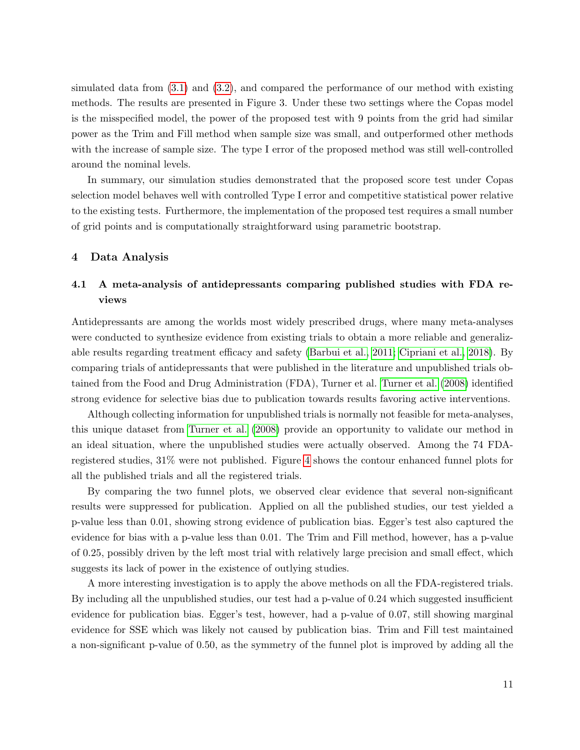simulated data from  $(3.1)$  and  $(3.2)$ , and compared the performance of our method with existing methods. The results are presented in Figure 3. Under these two settings where the Copas model is the misspecified model, the power of the proposed test with 9 points from the grid had similar power as the Trim and Fill method when sample size was small, and outperformed other methods with the increase of sample size. The type I error of the proposed method was still well-controlled around the nominal levels.

In summary, our simulation studies demonstrated that the proposed score test under Copas selection model behaves well with controlled Type I error and competitive statistical power relative to the existing tests. Furthermore, the implementation of the proposed test requires a small number of grid points and is computationally straightforward using parametric bootstrap.

### 4 Data Analysis

# 4.1 A meta-analysis of antidepressants comparing published studies with FDA reviews

Antidepressants are among the worlds most widely prescribed drugs, where many meta-analyses were conducted to synthesize evidence from existing trials to obtain a more reliable and generalizable results regarding treatment efficacy and safety [\(Barbui et al., 2011;](#page-16-5) [Cipriani et al., 2018\)](#page-16-6). By comparing trials of antidepressants that were published in the literature and unpublished trials obtained from the Food and Drug Administration (FDA), Turner et al. [Turner et al.](#page-19-2) [\(2008\)](#page-19-2) identified strong evidence for selective bias due to publication towards results favoring active interventions.

Although collecting information for unpublished trials is normally not feasible for meta-analyses, this unique dataset from [Turner et al.](#page-19-2) [\(2008\)](#page-19-2) provide an opportunity to validate our method in an ideal situation, where the unpublished studies were actually observed. Among the 74 FDAregistered studies, 31% were not published. Figure [4](#page-12-0) shows the contour enhanced funnel plots for all the published trials and all the registered trials.

By comparing the two funnel plots, we observed clear evidence that several non-significant results were suppressed for publication. Applied on all the published studies, our test yielded a p-value less than 0.01, showing strong evidence of publication bias. Egger's test also captured the evidence for bias with a p-value less than 0.01. The Trim and Fill method, however, has a p-value of 0.25, possibly driven by the left most trial with relatively large precision and small effect, which suggests its lack of power in the existence of outlying studies.

A more interesting investigation is to apply the above methods on all the FDA-registered trials. By including all the unpublished studies, our test had a p-value of 0.24 which suggested insufficient evidence for publication bias. Egger's test, however, had a p-value of 0.07, still showing marginal evidence for SSE which was likely not caused by publication bias. Trim and Fill test maintained a non-significant p-value of 0.50, as the symmetry of the funnel plot is improved by adding all the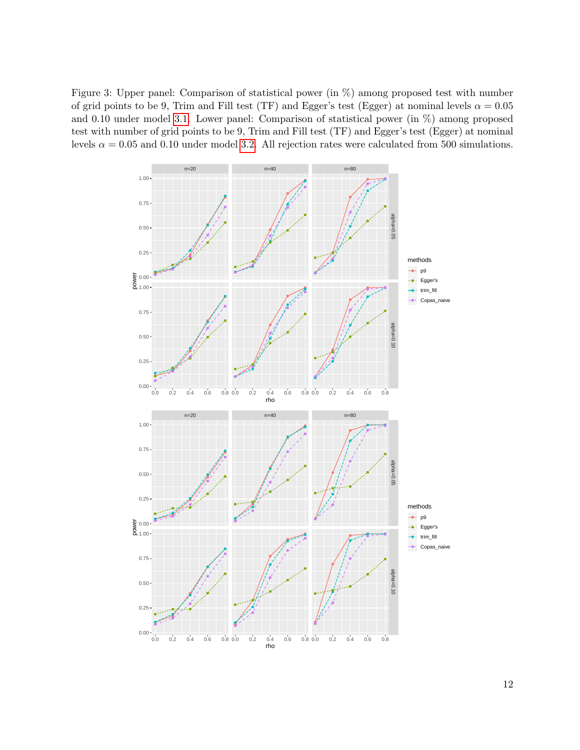Figure 3: Upper panel: Comparison of statistical power (in %) among proposed test with number of grid points to be 9, Trim and Fill test (TF) and Egger's test (Egger) at nominal levels  $\alpha = 0.05$ and 0.10 under model [3.1.](#page-9-1) Lower panel: Comparison of statistical power (in %) among proposed test with number of grid points to be 9, Trim and Fill test (TF) and Egger's test (Egger) at nominal levels  $\alpha = 0.05$  and 0.10 under model [3.2.](#page-9-0) All rejection rates were calculated from 500 simulations.

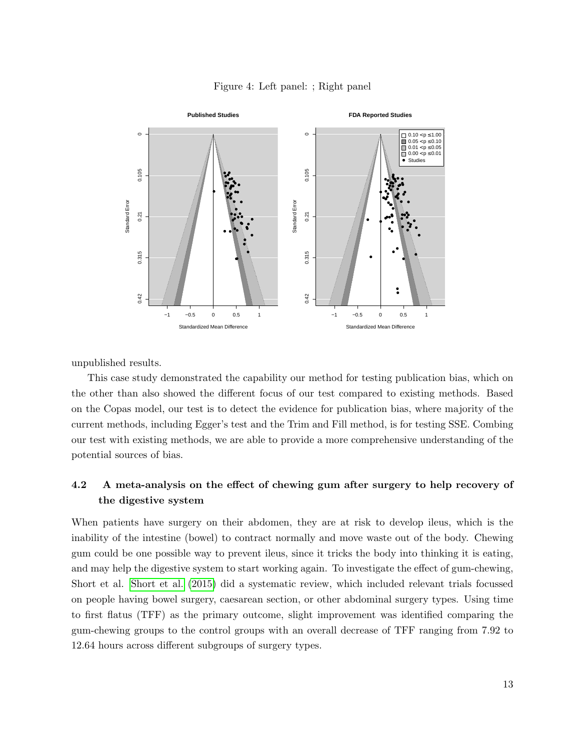

<span id="page-12-0"></span>

unpublished results.

This case study demonstrated the capability our method for testing publication bias, which on the other than also showed the different focus of our test compared to existing methods. Based on the Copas model, our test is to detect the evidence for publication bias, where majority of the current methods, including Egger's test and the Trim and Fill method, is for testing SSE. Combing our test with existing methods, we are able to provide a more comprehensive understanding of the potential sources of bias.

# 4.2 A meta-analysis on the effect of chewing gum after surgery to help recovery of the digestive system

When patients have surgery on their abdomen, they are at risk to develop ileus, which is the inability of the intestine (bowel) to contract normally and move waste out of the body. Chewing gum could be one possible way to prevent ileus, since it tricks the body into thinking it is eating, and may help the digestive system to start working again. To investigate the effect of gum-chewing, Short et al. [Short et al.](#page-18-9) [\(2015\)](#page-18-9) did a systematic review, which included relevant trials focussed on people having bowel surgery, caesarean section, or other abdominal surgery types. Using time to first flatus (TFF) as the primary outcome, slight improvement was identified comparing the gum-chewing groups to the control groups with an overall decrease of TFF ranging from 7.92 to 12.64 hours across different subgroups of surgery types.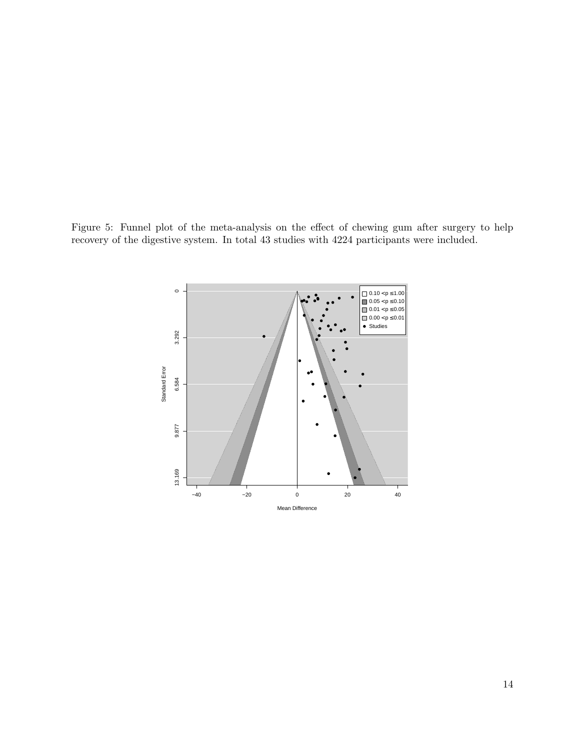<span id="page-13-0"></span>Figure 5: Funnel plot of the meta-analysis on the effect of chewing gum after surgery to help recovery of the digestive system. In total 43 studies with 4224 participants were included.

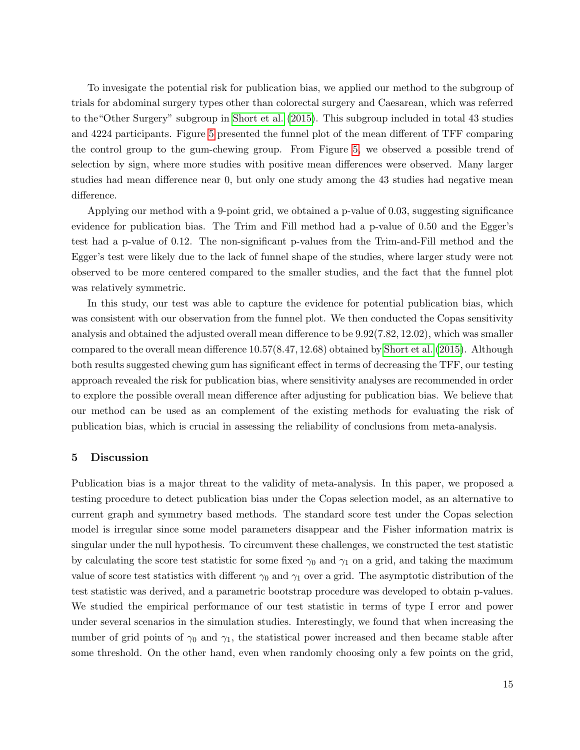To invesigate the potential risk for publication bias, we applied our method to the subgroup of trials for abdominal surgery types other than colorectal surgery and Caesarean, which was referred to the"Other Surgery" subgroup in [Short et al.](#page-18-9) [\(2015\)](#page-18-9). This subgroup included in total 43 studies and 4224 participants. Figure [5](#page-13-0) presented the funnel plot of the mean different of TFF comparing the control group to the gum-chewing group. From Figure [5,](#page-13-0) we observed a possible trend of selection by sign, where more studies with positive mean differences were observed. Many larger studies had mean difference near 0, but only one study among the 43 studies had negative mean difference.

Applying our method with a 9-point grid, we obtained a p-value of 0.03, suggesting significance evidence for publication bias. The Trim and Fill method had a p-value of 0.50 and the Egger's test had a p-value of 0.12. The non-significant p-values from the Trim-and-Fill method and the Egger's test were likely due to the lack of funnel shape of the studies, where larger study were not observed to be more centered compared to the smaller studies, and the fact that the funnel plot was relatively symmetric.

In this study, our test was able to capture the evidence for potential publication bias, which was consistent with our observation from the funnel plot. We then conducted the Copas sensitivity analysis and obtained the adjusted overall mean difference to be 9.92(7.82, 12.02), which was smaller compared to the overall mean difference 10.57(8.47, 12.68) obtained by [Short et al.](#page-18-9) [\(2015\)](#page-18-9). Although both results suggested chewing gum has significant effect in terms of decreasing the TFF, our testing approach revealed the risk for publication bias, where sensitivity analyses are recommended in order to explore the possible overall mean difference after adjusting for publication bias. We believe that our method can be used as an complement of the existing methods for evaluating the risk of publication bias, which is crucial in assessing the reliability of conclusions from meta-analysis.

### 5 Discussion

Publication bias is a major threat to the validity of meta-analysis. In this paper, we proposed a testing procedure to detect publication bias under the Copas selection model, as an alternative to current graph and symmetry based methods. The standard score test under the Copas selection model is irregular since some model parameters disappear and the Fisher information matrix is singular under the null hypothesis. To circumvent these challenges, we constructed the test statistic by calculating the score test statistic for some fixed  $\gamma_0$  and  $\gamma_1$  on a grid, and taking the maximum value of score test statistics with different  $\gamma_0$  and  $\gamma_1$  over a grid. The asymptotic distribution of the test statistic was derived, and a parametric bootstrap procedure was developed to obtain p-values. We studied the empirical performance of our test statistic in terms of type I error and power under several scenarios in the simulation studies. Interestingly, we found that when increasing the number of grid points of  $\gamma_0$  and  $\gamma_1$ , the statistical power increased and then became stable after some threshold. On the other hand, even when randomly choosing only a few points on the grid,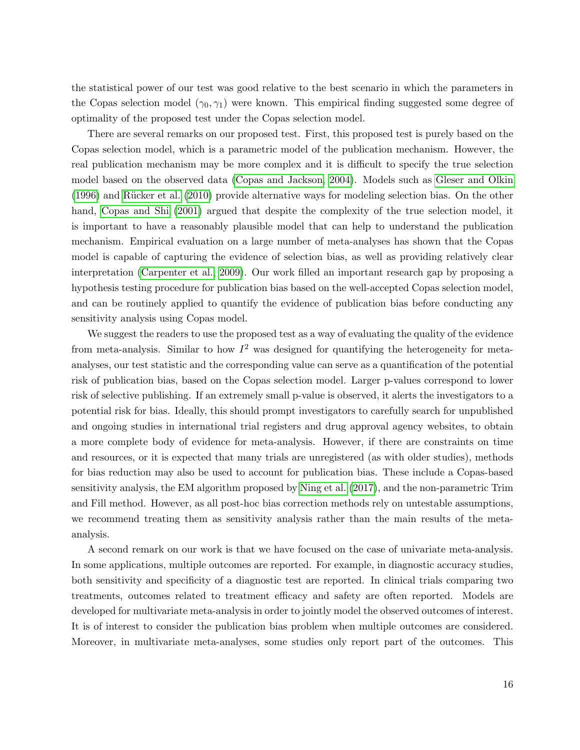the statistical power of our test was good relative to the best scenario in which the parameters in the Copas selection model  $(\gamma_0, \gamma_1)$  were known. This empirical finding suggested some degree of optimality of the proposed test under the Copas selection model.

There are several remarks on our proposed test. First, this proposed test is purely based on the Copas selection model, which is a parametric model of the publication mechanism. However, the real publication mechanism may be more complex and it is difficult to specify the true selection model based on the observed data [\(Copas and Jackson, 2004\)](#page-16-7). Models such as [Gleser and Olkin](#page-17-13)  $(1996)$  and Rücker et al.  $(2010)$  provide alternative ways for modeling selection bias. On the other hand, [Copas and Shi](#page-16-3) [\(2001\)](#page-16-3) argued that despite the complexity of the true selection model, it is important to have a reasonably plausible model that can help to understand the publication mechanism. Empirical evaluation on a large number of meta-analyses has shown that the Copas model is capable of capturing the evidence of selection bias, as well as providing relatively clear interpretation [\(Carpenter et al., 2009\)](#page-16-8). Our work filled an important research gap by proposing a hypothesis testing procedure for publication bias based on the well-accepted Copas selection model, and can be routinely applied to quantify the evidence of publication bias before conducting any sensitivity analysis using Copas model.

We suggest the readers to use the proposed test as a way of evaluating the quality of the evidence from meta-analysis. Similar to how  $I^2$  was designed for quantifying the heterogeneity for metaanalyses, our test statistic and the corresponding value can serve as a quantification of the potential risk of publication bias, based on the Copas selection model. Larger p-values correspond to lower risk of selective publishing. If an extremely small p-value is observed, it alerts the investigators to a potential risk for bias. Ideally, this should prompt investigators to carefully search for unpublished and ongoing studies in international trial registers and drug approval agency websites, to obtain a more complete body of evidence for meta-analysis. However, if there are constraints on time and resources, or it is expected that many trials are unregistered (as with older studies), methods for bias reduction may also be used to account for publication bias. These include a Copas-based sensitivity analysis, the EM algorithm proposed by [Ning et al.](#page-18-11) [\(2017\)](#page-18-11), and the non-parametric Trim and Fill method. However, as all post-hoc bias correction methods rely on untestable assumptions, we recommend treating them as sensitivity analysis rather than the main results of the metaanalysis.

A second remark on our work is that we have focused on the case of univariate meta-analysis. In some applications, multiple outcomes are reported. For example, in diagnostic accuracy studies, both sensitivity and specificity of a diagnostic test are reported. In clinical trials comparing two treatments, outcomes related to treatment efficacy and safety are often reported. Models are developed for multivariate meta-analysis in order to jointly model the observed outcomes of interest. It is of interest to consider the publication bias problem when multiple outcomes are considered. Moreover, in multivariate meta-analyses, some studies only report part of the outcomes. This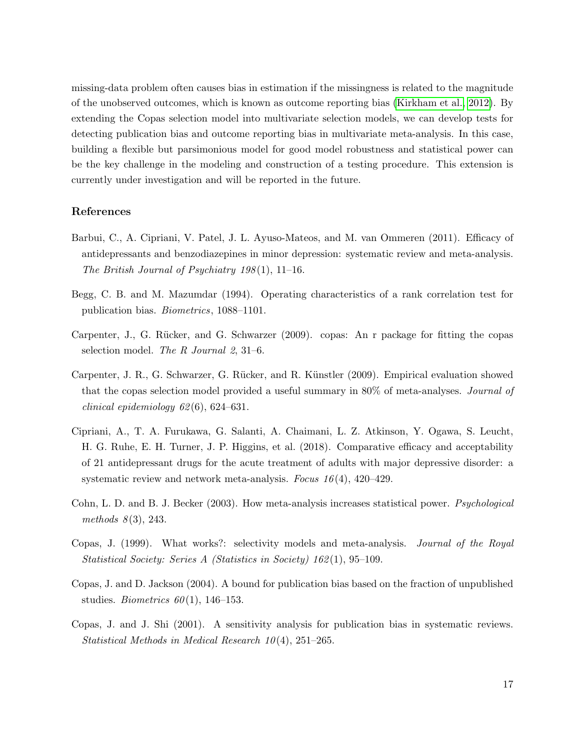missing-data problem often causes bias in estimation if the missingness is related to the magnitude of the unobserved outcomes, which is known as outcome reporting bias [\(Kirkham et al., 2012\)](#page-18-12). By extending the Copas selection model into multivariate selection models, we can develop tests for detecting publication bias and outcome reporting bias in multivariate meta-analysis. In this case, building a flexible but parsimonious model for good model robustness and statistical power can be the key challenge in the modeling and construction of a testing procedure. This extension is currently under investigation and will be reported in the future.

### References

- <span id="page-16-5"></span>Barbui, C., A. Cipriani, V. Patel, J. L. Ayuso-Mateos, and M. van Ommeren (2011). Efficacy of antidepressants and benzodiazepines in minor depression: systematic review and meta-analysis. The British Journal of Psychiatry  $198(1)$ , 11–16.
- <span id="page-16-1"></span>Begg, C. B. and M. Mazumdar (1994). Operating characteristics of a rank correlation test for publication bias. Biometrics, 1088–1101.
- <span id="page-16-4"></span>Carpenter, J., G. R¨ucker, and G. Schwarzer (2009). copas: An r package for fitting the copas selection model. The R Journal 2, 31–6.
- <span id="page-16-8"></span>Carpenter, J. R., G. Schwarzer, G. Rücker, and R. Künstler (2009). Empirical evaluation showed that the copas selection model provided a useful summary in 80% of meta-analyses. *Journal of* clinical epidemiology  $62(6)$ ,  $624-631$ .
- <span id="page-16-6"></span>Cipriani, A., T. A. Furukawa, G. Salanti, A. Chaimani, L. Z. Atkinson, Y. Ogawa, S. Leucht, H. G. Ruhe, E. H. Turner, J. P. Higgins, et al. (2018). Comparative efficacy and acceptability of 21 antidepressant drugs for the acute treatment of adults with major depressive disorder: a systematic review and network meta-analysis. Focus  $16(4)$ ,  $420-429$ .
- <span id="page-16-0"></span>Cohn, L. D. and B. J. Becker (2003). How meta-analysis increases statistical power. Psychological methods  $8(3)$ , 243.
- <span id="page-16-2"></span>Copas, J. (1999). What works?: selectivity models and meta-analysis. Journal of the Royal Statistical Society: Series A (Statistics in Society) 162 (1), 95–109.
- <span id="page-16-7"></span>Copas, J. and D. Jackson (2004). A bound for publication bias based on the fraction of unpublished studies. *Biometrics*  $60(1)$ , 146–153.
- <span id="page-16-3"></span>Copas, J. and J. Shi (2001). A sensitivity analysis for publication bias in systematic reviews. Statistical Methods in Medical Research  $10(4)$ , 251–265.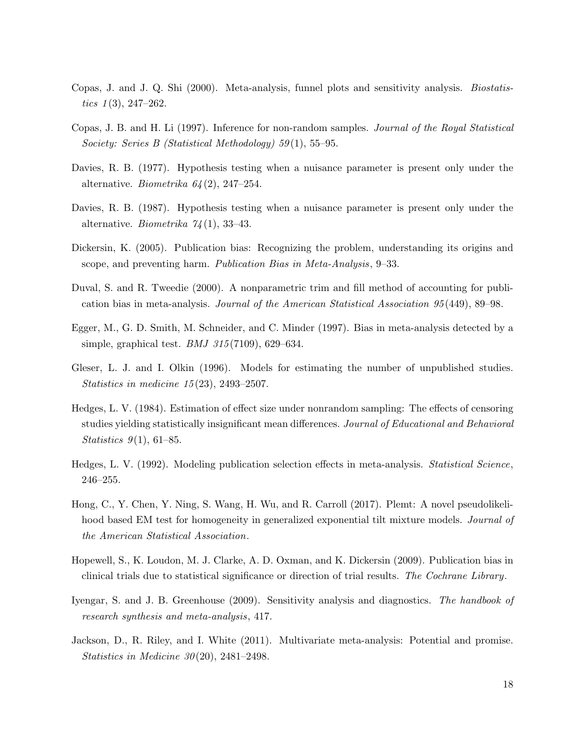- <span id="page-17-9"></span>Copas, J. and J. Q. Shi (2000). Meta-analysis, funnel plots and sensitivity analysis. Biostatistics  $1(3)$ , 247–262.
- <span id="page-17-8"></span>Copas, J. B. and H. Li (1997). Inference for non-random samples. Journal of the Royal Statistical Society: Series B (Statistical Methodology) 59(1), 55–95.
- <span id="page-17-10"></span>Davies, R. B. (1977). Hypothesis testing when a nuisance parameter is present only under the alternative. Biometrika  $64(2)$ , 247-254.
- <span id="page-17-11"></span>Davies, R. B. (1987). Hypothesis testing when a nuisance parameter is present only under the alternative. *Biometrika*  $74(1)$ , 33-43.
- <span id="page-17-2"></span>Dickersin, K. (2005). Publication bias: Recognizing the problem, understanding its origins and scope, and preventing harm. Publication Bias in Meta-Analysis, 9–33.
- <span id="page-17-4"></span>Duval, S. and R. Tweedie (2000). A nonparametric trim and fill method of accounting for publication bias in meta-analysis. Journal of the American Statistical Association 95 (449), 89–98.
- <span id="page-17-1"></span>Egger, M., G. D. Smith, M. Schneider, and C. Minder (1997). Bias in meta-analysis detected by a simple, graphical test. *BMJ*  $315(7109)$ , 629–634.
- <span id="page-17-13"></span>Gleser, L. J. and I. Olkin (1996). Models for estimating the number of unpublished studies. Statistics in medicine 15 (23), 2493–2507.
- <span id="page-17-5"></span>Hedges, L. V. (1984). Estimation of effect size under nonrandom sampling: The effects of censoring studies yielding statistically insignificant mean differences. Journal of Educational and Behavioral Statistics  $9(1)$ , 61–85.
- <span id="page-17-6"></span>Hedges, L. V. (1992). Modeling publication selection effects in meta-analysis. Statistical Science, 246–255.
- <span id="page-17-12"></span>Hong, C., Y. Chen, Y. Ning, S. Wang, H. Wu, and R. Carroll (2017). Plemt: A novel pseudolikelihood based EM test for homogeneity in generalized exponential tilt mixture models. Journal of the American Statistical Association.
- <span id="page-17-3"></span>Hopewell, S., K. Loudon, M. J. Clarke, A. D. Oxman, and K. Dickersin (2009). Publication bias in clinical trials due to statistical significance or direction of trial results. The Cochrane Library.
- <span id="page-17-7"></span>Iyengar, S. and J. B. Greenhouse (2009). Sensitivity analysis and diagnostics. The handbook of research synthesis and meta-analysis, 417.
- <span id="page-17-0"></span>Jackson, D., R. Riley, and I. White (2011). Multivariate meta-analysis: Potential and promise. Statistics in Medicine  $30(20)$ , 2481–2498.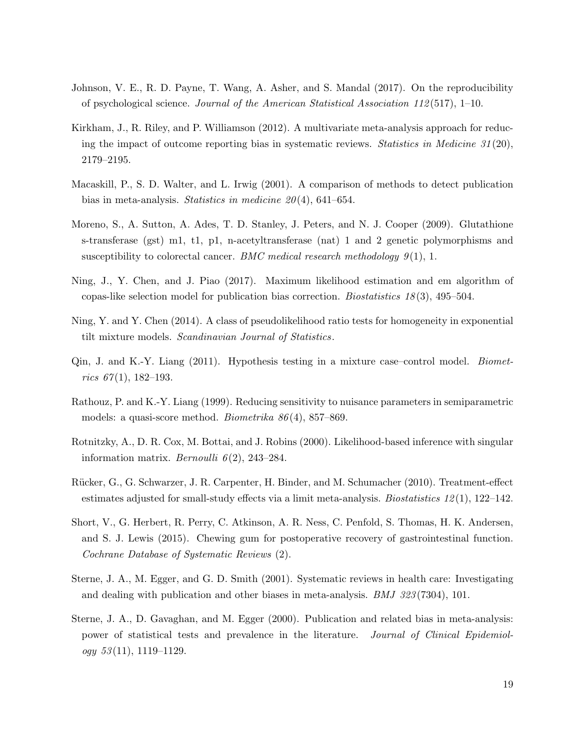- <span id="page-18-1"></span>Johnson, V. E., R. D. Payne, T. Wang, A. Asher, and S. Mandal (2017). On the reproducibility of psychological science. Journal of the American Statistical Association 112 (517), 1–10.
- <span id="page-18-12"></span>Kirkham, J., R. Riley, and P. Williamson (2012). A multivariate meta-analysis approach for reducing the impact of outcome reporting bias in systematic reviews. Statistics in Medicine  $31(20)$ , 2179–2195.
- <span id="page-18-3"></span>Macaskill, P., S. D. Walter, and L. Irwig (2001). A comparison of methods to detect publication bias in meta-analysis. Statistics in medicine  $20(4)$ , 641–654.
- <span id="page-18-4"></span>Moreno, S., A. Sutton, A. Ades, T. D. Stanley, J. Peters, and N. J. Cooper (2009). Glutathione s-transferase (gst) m1, t1, p1, n-acetyltransferase (nat) 1 and 2 genetic polymorphisms and susceptibility to colorectal cancer. BMC medical research methodology  $9(1)$ , 1.
- <span id="page-18-11"></span>Ning, J., Y. Chen, and J. Piao (2017). Maximum likelihood estimation and em algorithm of copas-like selection model for publication bias correction. Biostatistics 18 (3), 495–504.
- <span id="page-18-7"></span>Ning, Y. and Y. Chen (2014). A class of pseudolikelihood ratio tests for homogeneity in exponential tilt mixture models. Scandinavian Journal of Statistics.
- <span id="page-18-6"></span>Qin, J. and K.-Y. Liang (2011). Hypothesis testing in a mixture case–control model. Biometrics  $67(1)$ , 182–193.
- <span id="page-18-8"></span>Rathouz, P. and K.-Y. Liang (1999). Reducing sensitivity to nuisance parameters in semiparametric models: a quasi-score method. Biometrika 86 (4), 857–869.
- <span id="page-18-5"></span>Rotnitzky, A., D. R. Cox, M. Bottai, and J. Robins (2000). Likelihood-based inference with singular information matrix. *Bernoulli*  $6(2)$ , 243-284.
- <span id="page-18-10"></span>Rücker, G., G. Schwarzer, J. R. Carpenter, H. Binder, and M. Schumacher (2010). Treatment-effect estimates adjusted for small-study effects via a limit meta-analysis. Biostatistics  $12(1)$ ,  $122-142$ .
- <span id="page-18-9"></span>Short, V., G. Herbert, R. Perry, C. Atkinson, A. R. Ness, C. Penfold, S. Thomas, H. K. Andersen, and S. J. Lewis (2015). Chewing gum for postoperative recovery of gastrointestinal function. Cochrane Database of Systematic Reviews (2).
- <span id="page-18-2"></span>Sterne, J. A., M. Egger, and G. D. Smith (2001). Systematic reviews in health care: Investigating and dealing with publication and other biases in meta-analysis. BMJ 323 (7304), 101.
- <span id="page-18-0"></span>Sterne, J. A., D. Gavaghan, and M. Egger (2000). Publication and related bias in meta-analysis: power of statistical tests and prevalence in the literature. Journal of Clinical Epidemiol $ogy 53(11), 1119-1129.$